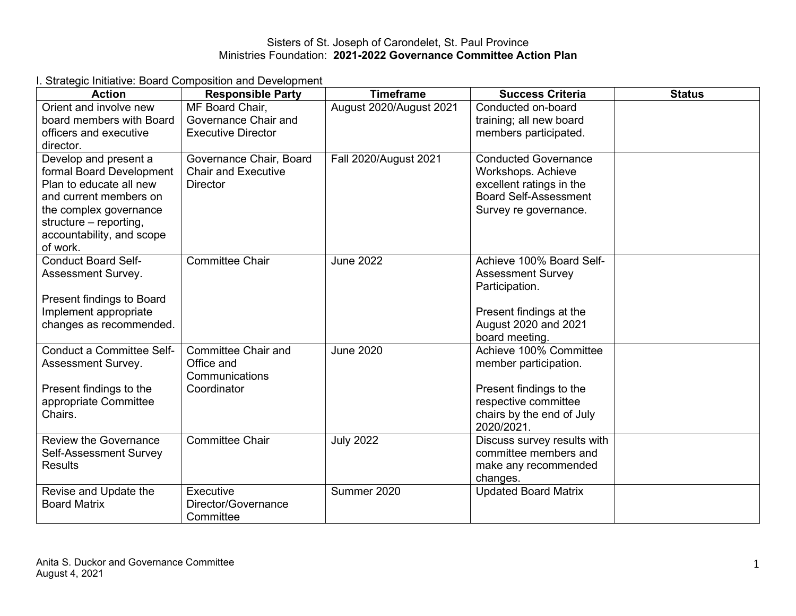I. Strategic Initiative: Board Composition and Development

| <b>Action</b>                                                                                                                                                                                       | <b>Responsible Party</b>                                                  | <b>Timeframe</b>        | <b>Success Criteria</b>                                                                                                                       | <b>Status</b> |
|-----------------------------------------------------------------------------------------------------------------------------------------------------------------------------------------------------|---------------------------------------------------------------------------|-------------------------|-----------------------------------------------------------------------------------------------------------------------------------------------|---------------|
| Orient and involve new<br>board members with Board<br>officers and executive<br>director.                                                                                                           | MF Board Chair,<br>Governance Chair and<br><b>Executive Director</b>      | August 2020/August 2021 | Conducted on-board<br>training; all new board<br>members participated.                                                                        |               |
| Develop and present a<br>formal Board Development<br>Plan to educate all new<br>and current members on<br>the complex governance<br>structure - reporting,<br>accountability, and scope<br>of work. | Governance Chair, Board<br><b>Chair and Executive</b><br><b>Director</b>  | Fall 2020/August 2021   | <b>Conducted Governance</b><br>Workshops. Achieve<br>excellent ratings in the<br><b>Board Self-Assessment</b><br>Survey re governance.        |               |
| <b>Conduct Board Self-</b><br>Assessment Survey.<br>Present findings to Board<br>Implement appropriate<br>changes as recommended.                                                                   | <b>Committee Chair</b>                                                    | <b>June 2022</b>        | Achieve 100% Board Self-<br><b>Assessment Survey</b><br>Participation.<br>Present findings at the<br>August 2020 and 2021<br>board meeting.   |               |
| Conduct a Committee Self-<br>Assessment Survey.<br>Present findings to the<br>appropriate Committee<br>Chairs.                                                                                      | <b>Committee Chair and</b><br>Office and<br>Communications<br>Coordinator | <b>June 2020</b>        | Achieve 100% Committee<br>member participation.<br>Present findings to the<br>respective committee<br>chairs by the end of July<br>2020/2021. |               |
| <b>Review the Governance</b><br>Self-Assessment Survey<br><b>Results</b>                                                                                                                            | <b>Committee Chair</b>                                                    | <b>July 2022</b>        | Discuss survey results with<br>committee members and<br>make any recommended<br>changes.                                                      |               |
| Revise and Update the<br><b>Board Matrix</b>                                                                                                                                                        | Executive<br>Director/Governance<br>Committee                             | Summer 2020             | <b>Updated Board Matrix</b>                                                                                                                   |               |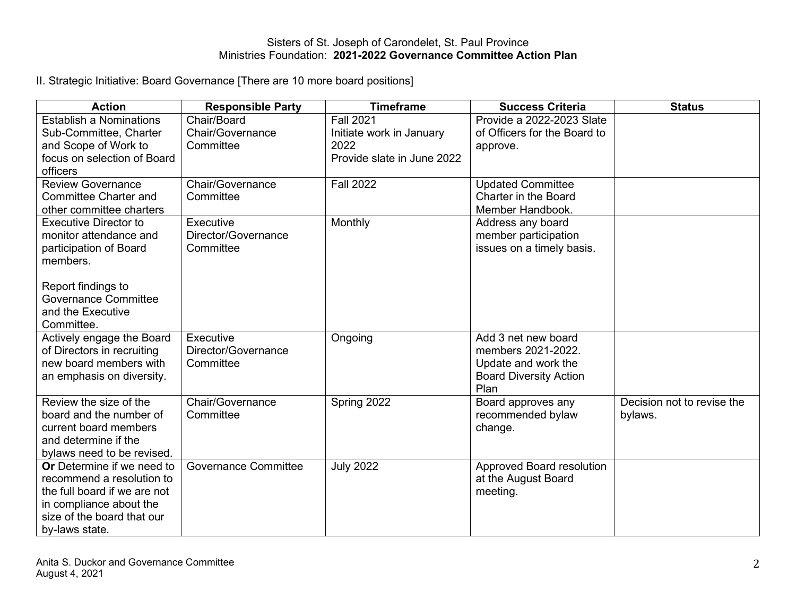II. Strategic Initiative: Board Governance [There are 10 more board positions]

| <b>Action</b>                                                                                                                                                                        | <b>Responsible Party</b>                      | <b>Timeframe</b>                                                                   | <b>Success Criteria</b>                                                                                   | <b>Status</b>                         |
|--------------------------------------------------------------------------------------------------------------------------------------------------------------------------------------|-----------------------------------------------|------------------------------------------------------------------------------------|-----------------------------------------------------------------------------------------------------------|---------------------------------------|
| <b>Establish a Nominations</b><br>Sub-Committee, Charter<br>and Scope of Work to<br>focus on selection of Board                                                                      | Chair/Board<br>Chair/Governance<br>Committee  | <b>Fall 2021</b><br>Initiate work in January<br>2022<br>Provide slate in June 2022 | Provide a 2022-2023 Slate<br>of Officers for the Board to<br>approve.                                     |                                       |
| officers<br><b>Review Governance</b><br><b>Committee Charter and</b><br>other committee charters                                                                                     | Chair/Governance<br>Committee                 | <b>Fall 2022</b>                                                                   | <b>Updated Committee</b><br><b>Charter in the Board</b><br>Member Handbook.                               |                                       |
| <b>Executive Director to</b><br>monitor attendance and<br>participation of Board<br>members.<br>Report findings to<br><b>Governance Committee</b><br>and the Executive<br>Committee. | Executive<br>Director/Governance<br>Committee | Monthly                                                                            | Address any board<br>member participation<br>issues on a timely basis.                                    |                                       |
| Actively engage the Board<br>of Directors in recruiting<br>new board members with<br>an emphasis on diversity.                                                                       | Executive<br>Director/Governance<br>Committee | Ongoing                                                                            | Add 3 net new board<br>members 2021-2022.<br>Update and work the<br><b>Board Diversity Action</b><br>Plan |                                       |
| Review the size of the<br>board and the number of<br>current board members<br>and determine if the<br>bylaws need to be revised.                                                     | Chair/Governance<br>Committee                 | Spring 2022                                                                        | Board approves any<br>recommended bylaw<br>change.                                                        | Decision not to revise the<br>bylaws. |
| <b>Or</b> Determine if we need to<br>recommend a resolution to<br>the full board if we are not<br>in compliance about the<br>size of the board that our<br>by-laws state.            | <b>Governance Committee</b>                   | <b>July 2022</b>                                                                   | Approved Board resolution<br>at the August Board<br>meeting.                                              |                                       |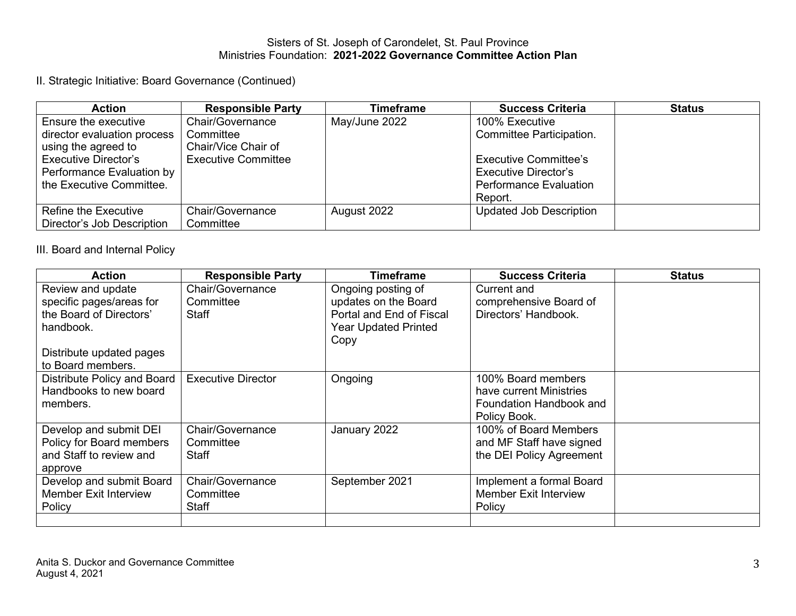II. Strategic Initiative: Board Governance (Continued)

| <b>Action</b>               | <b>Responsible Party</b>   | <b>Timeframe</b> | <b>Success Criteria</b>        | <b>Status</b> |
|-----------------------------|----------------------------|------------------|--------------------------------|---------------|
| Ensure the executive        | Chair/Governance           | May/June 2022    | 100% Executive                 |               |
| director evaluation process | Committee                  |                  | Committee Participation.       |               |
| using the agreed to         | Chair/Vice Chair of        |                  |                                |               |
| <b>Executive Director's</b> | <b>Executive Committee</b> |                  | <b>Executive Committee's</b>   |               |
| Performance Evaluation by   |                            |                  | Executive Director's           |               |
| the Executive Committee.    |                            |                  | <b>Performance Evaluation</b>  |               |
|                             |                            |                  | Report.                        |               |
| Refine the Executive        | Chair/Governance           | August 2022      | <b>Updated Job Description</b> |               |
| Director's Job Description  | Committee                  |                  |                                |               |

III. Board and Internal Policy

| <b>Action</b>                | <b>Responsible Party</b>  | Timeframe                   | <b>Success Criteria</b>      | <b>Status</b> |
|------------------------------|---------------------------|-----------------------------|------------------------------|---------------|
| Review and update            | Chair/Governance          | Ongoing posting of          | Current and                  |               |
| specific pages/areas for     | Committee                 | updates on the Board        | comprehensive Board of       |               |
| the Board of Directors'      | Staff                     | Portal and End of Fiscal    | Directors' Handbook.         |               |
| handbook.                    |                           | <b>Year Updated Printed</b> |                              |               |
|                              |                           | Copy                        |                              |               |
| Distribute updated pages     |                           |                             |                              |               |
| to Board members.            |                           |                             |                              |               |
| Distribute Policy and Board  | <b>Executive Director</b> | Ongoing                     | 100% Board members           |               |
| Handbooks to new board       |                           |                             | have current Ministries      |               |
| members.                     |                           |                             | Foundation Handbook and      |               |
|                              |                           |                             | Policy Book.                 |               |
| Develop and submit DEI       | Chair/Governance          | January 2022                | 100% of Board Members        |               |
| Policy for Board members     | Committee                 |                             | and MF Staff have signed     |               |
| and Staff to review and      | Staff                     |                             | the DEI Policy Agreement     |               |
| approve                      |                           |                             |                              |               |
| Develop and submit Board     | Chair/Governance          | September 2021              | Implement a formal Board     |               |
| <b>Member Exit Interview</b> | Committee                 |                             | <b>Member Exit Interview</b> |               |
| Policy                       | Staff                     |                             | Policy                       |               |
|                              |                           |                             |                              |               |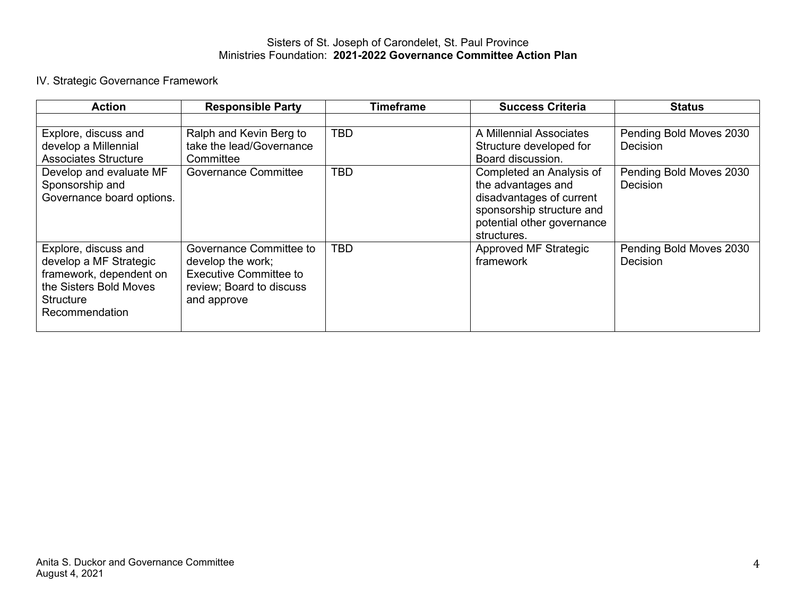# IV. Strategic Governance Framework

| <b>Action</b>                                                                                                                      | <b>Responsible Party</b>                                                                                                 | <b>Timeframe</b> | <b>Success Criteria</b>                                                                                                                              | <b>Status</b>                              |
|------------------------------------------------------------------------------------------------------------------------------------|--------------------------------------------------------------------------------------------------------------------------|------------------|------------------------------------------------------------------------------------------------------------------------------------------------------|--------------------------------------------|
|                                                                                                                                    |                                                                                                                          |                  |                                                                                                                                                      |                                            |
| Explore, discuss and<br>develop a Millennial                                                                                       | Ralph and Kevin Berg to<br>take the lead/Governance                                                                      | <b>TBD</b>       | A Millennial Associates<br>Structure developed for                                                                                                   | Pending Bold Moves 2030<br><b>Decision</b> |
| <b>Associates Structure</b>                                                                                                        | Committee                                                                                                                |                  | Board discussion.                                                                                                                                    |                                            |
| Develop and evaluate MF<br>Sponsorship and<br>Governance board options.                                                            | <b>Governance Committee</b>                                                                                              | <b>TBD</b>       | Completed an Analysis of<br>the advantages and<br>disadvantages of current<br>sponsorship structure and<br>potential other governance<br>structures. | Pending Bold Moves 2030<br>Decision        |
| Explore, discuss and<br>develop a MF Strategic<br>framework, dependent on<br>the Sisters Bold Moves<br>Structure<br>Recommendation | Governance Committee to<br>develop the work;<br><b>Executive Committee to</b><br>review; Board to discuss<br>and approve | <b>TBD</b>       | Approved MF Strategic<br>framework                                                                                                                   | Pending Bold Moves 2030<br>Decision        |